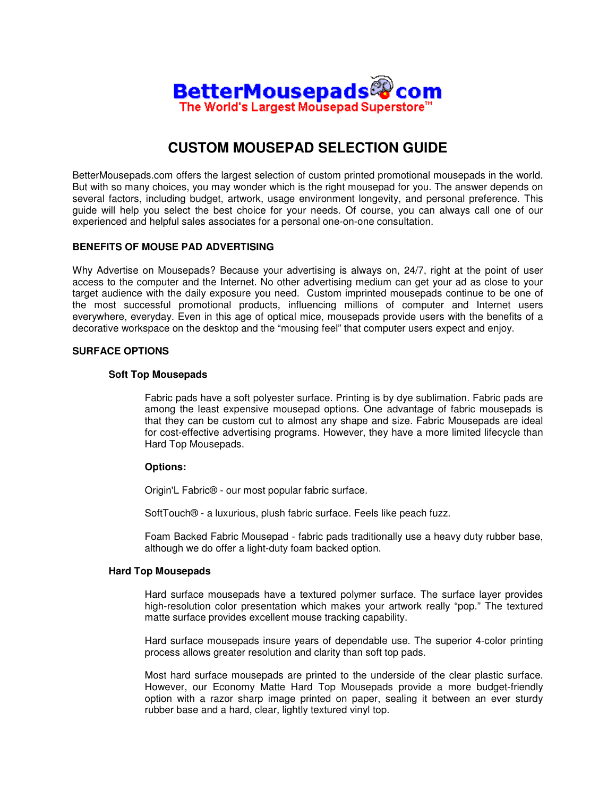

# **CUSTOM MOUSEPAD SELECTION GUIDE**

BetterMousepads.com offers the largest selection of custom printed promotional mousepads in the world. But with so many choices, you may wonder which is the right mousepad for you. The answer depends on several factors, including budget, artwork, usage environment longevity, and personal preference. This guide will help you select the best choice for your needs. Of course, you can always call one of our experienced and helpful sales associates for a personal one-on-one consultation.

# **BENEFITS OF MOUSE PAD ADVERTISING**

Why Advertise on Mousepads? Because your advertising is always on, 24/7, right at the point of user access to the computer and the Internet. No other advertising medium can get your ad as close to your target audience with the daily exposure you need. Custom imprinted mousepads continue to be one of the most successful promotional products, influencing millions of computer and Internet users everywhere, everyday. Even in this age of optical mice, mousepads provide users with the benefits of a decorative workspace on the desktop and the "mousing feel" that computer users expect and enjoy.

## **SURFACE OPTIONS**

#### **Soft Top Mousepads**

Fabric pads have a soft polyester surface. Printing is by dye sublimation. Fabric pads are among the least expensive mousepad options. One advantage of fabric mousepads is that they can be custom cut to almost any shape and size. Fabric Mousepads are ideal for cost-effective advertising programs. However, they have a more limited lifecycle than Hard Top Mousepads.

## **Options:**

Origin'L Fabric® - our most popular fabric surface.

SoftTouch® - a luxurious, plush fabric surface. Feels like peach fuzz.

Foam Backed Fabric Mousepad - fabric pads traditionally use a heavy duty rubber base, although we do offer a light-duty foam backed option.

## **Hard Top Mousepads**

Hard surface mousepads have a textured polymer surface. The surface layer provides high-resolution color presentation which makes your artwork really "pop." The textured matte surface provides excellent mouse tracking capability.

Hard surface mousepads insure years of dependable use. The superior 4-color printing process allows greater resolution and clarity than soft top pads.

Most hard surface mousepads are printed to the underside of the clear plastic surface. However, our Economy Matte Hard Top Mousepads provide a more budget-friendly option with a razor sharp image printed on paper, sealing it between an ever sturdy rubber base and a hard, clear, lightly textured vinyl top.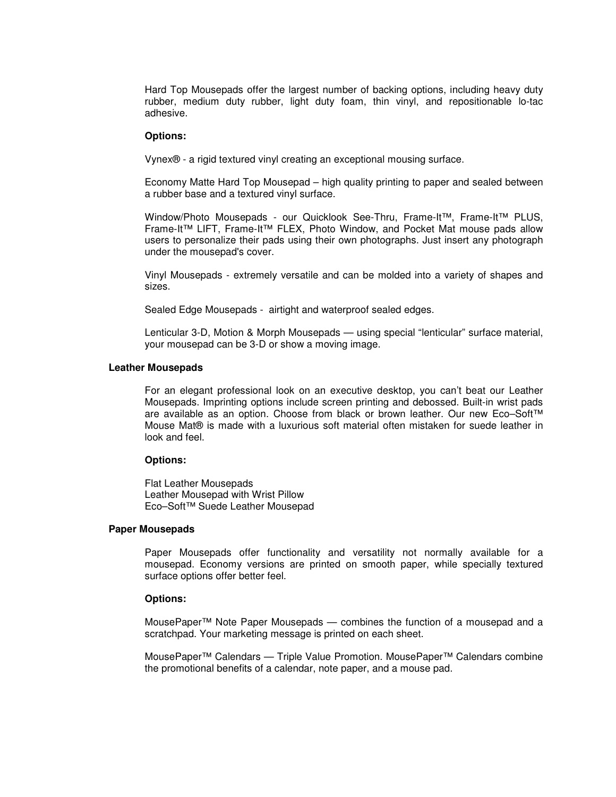Hard Top Mousepads offer the largest number of backing options, including heavy duty rubber, medium duty rubber, light duty foam, thin vinyl, and repositionable lo-tac adhesive.

## **Options:**

Vynex® - a rigid textured vinyl creating an exceptional mousing surface.

Economy Matte Hard Top Mousepad – high quality printing to paper and sealed between a rubber base and a textured vinyl surface.

Window/Photo Mousepads - our Quicklook See-Thru, Frame-It™, Frame-It™ PLUS, Frame-It™ LIFT, Frame-It™ FLEX, Photo Window, and Pocket Mat mouse pads allow users to personalize their pads using their own photographs. Just insert any photograph under the mousepad's cover.

Vinyl Mousepads - extremely versatile and can be molded into a variety of shapes and sizes.

Sealed Edge Mousepads - airtight and waterproof sealed edges.

Lenticular 3-D, Motion & Morph Mousepads — using special "lenticular" surface material, your mousepad can be 3-D or show a moving image.

#### **Leather Mousepads**

For an elegant professional look on an executive desktop, you can't beat our Leather Mousepads. Imprinting options include screen printing and debossed. Built-in wrist pads are available as an option. Choose from black or brown leather. Our new Eco–Soft™ Mouse Mat® is made with a luxurious soft material often mistaken for suede leather in look and feel.

#### **Options:**

Flat Leather Mousepads Leather Mousepad with Wrist Pillow Eco–Soft™ Suede Leather Mousepad

#### **Paper Mousepads**

Paper Mousepads offer functionality and versatility not normally available for a mousepad. Economy versions are printed on smooth paper, while specially textured surface options offer better feel.

#### **Options:**

MousePaper™ Note Paper Mousepads — combines the function of a mousepad and a scratchpad. Your marketing message is printed on each sheet.

MousePaper™ Calendars — Triple Value Promotion. MousePaper™ Calendars combine the promotional benefits of a calendar, note paper, and a mouse pad.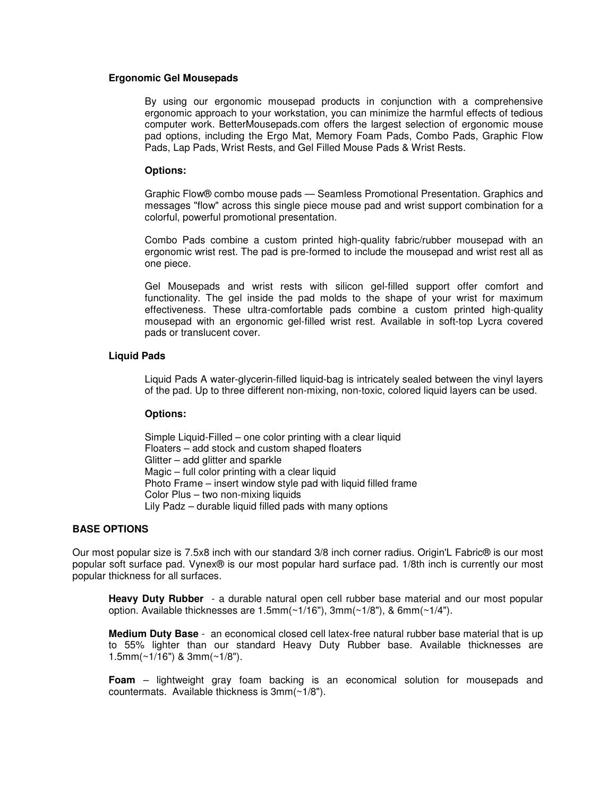#### **Ergonomic Gel Mousepads**

By using our ergonomic mousepad products in conjunction with a comprehensive ergonomic approach to your workstation, you can minimize the harmful effects of tedious computer work. BetterMousepads.com offers the largest selection of ergonomic mouse pad options, including the Ergo Mat, Memory Foam Pads, Combo Pads, Graphic Flow Pads, Lap Pads, Wrist Rests, and Gel Filled Mouse Pads & Wrist Rests.

#### **Options:**

Graphic Flow® combo mouse pads — Seamless Promotional Presentation. Graphics and messages "flow" across this single piece mouse pad and wrist support combination for a colorful, powerful promotional presentation.

Combo Pads combine a custom printed high-quality fabric/rubber mousepad with an ergonomic wrist rest. The pad is pre-formed to include the mousepad and wrist rest all as one piece.

Gel Mousepads and wrist rests with silicon gel-filled support offer comfort and functionality. The gel inside the pad molds to the shape of your wrist for maximum effectiveness. These ultra-comfortable pads combine a custom printed high-quality mousepad with an ergonomic gel-filled wrist rest. Available in soft-top Lycra covered pads or translucent cover.

#### **Liquid Pads**

Liquid Pads A water-glycerin-filled liquid-bag is intricately sealed between the vinyl layers of the pad. Up to three different non-mixing, non-toxic, colored liquid layers can be used.

## **Options:**

Simple Liquid-Filled – one color printing with a clear liquid Floaters – add stock and custom shaped floaters Glitter – add glitter and sparkle Magic – full color printing with a clear liquid Photo Frame – insert window style pad with liquid filled frame Color Plus – two non-mixing liquids Lily Padz – durable liquid filled pads with many options

## **BASE OPTIONS**

Our most popular size is 7.5x8 inch with our standard 3/8 inch corner radius. Origin'L Fabric® is our most popular soft surface pad. Vynex® is our most popular hard surface pad. 1/8th inch is currently our most popular thickness for all surfaces.

**Heavy Duty Rubber** - a durable natural open cell rubber base material and our most popular option. Available thicknesses are 1.5mm(~1/16"), 3mm(~1/8"), & 6mm(~1/4").

**Medium Duty Base** - an economical closed cell latex-free natural rubber base material that is up to 55% lighter than our standard Heavy Duty Rubber base. Available thicknesses are 1.5mm(~1/16") & 3mm(~1/8").

**Foam** – lightweight gray foam backing is an economical solution for mousepads and countermats. Available thickness is 3mm(~1/8").